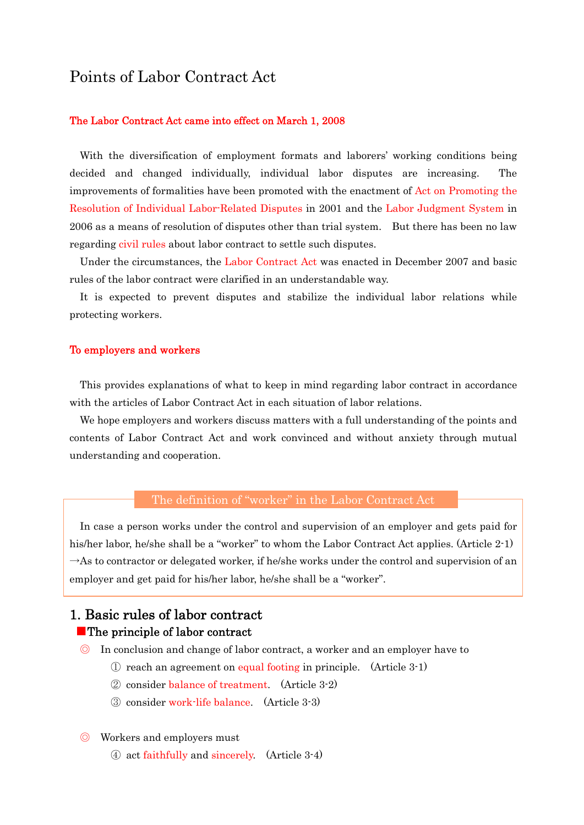# Points of Labor Contract Act

#### The Labor Contract Act came into effect on March 1, 2008

With the diversification of employment formats and laborers' working conditions being decided and changed individually, individual labor disputes are increasing. The improvements of formalities have been promoted with the enactment of Act on Promoting the Resolution of Individual Labor-Related Disputes in 2001 and the Labor Judgment System in 2006 as a means of resolution of disputes other than trial system. But there has been no law regarding civil rules about labor contract to settle such disputes.

Under the circumstances, the Labor Contract Act was enacted in December 2007 and basic rules of the labor contract were clarified in an understandable way.

It is expected to prevent disputes and stabilize the individual labor relations while protecting workers.

### To employers and workers

This provides explanations of what to keep in mind regarding labor contract in accordance with the articles of Labor Contract Act in each situation of labor relations.

We hope employers and workers discuss matters with a full understanding of the points and contents of Labor Contract Act and work convinced and without anxiety through mutual understanding and cooperation.

#### The definition of "worker" in the Labor Contract Act

In case a person works under the control and supervision of an employer and gets paid for his/her labor, he/she shall be a "worker" to whom the Labor Contract Act applies. (Article 2-1)  $\rightarrow$ As to contractor or delegated worker, if he/she works under the control and supervision of an employer and get paid for his/her labor, he/she shall be a "worker".

## 1. Basic rules of labor contract ■The principle of labor contract

- ◎ In conclusion and change of labor contract, a worker and an employer have to
	- ① reach an agreement on equal footing in principle. (Article 3-1)
	- ② consider balance of treatment. (Article 3-2)
	- ③ consider work-life balance. (Article 3-3)
- ◎ Workers and employers must
	- ④ act faithfully and sincerely. (Article 3-4)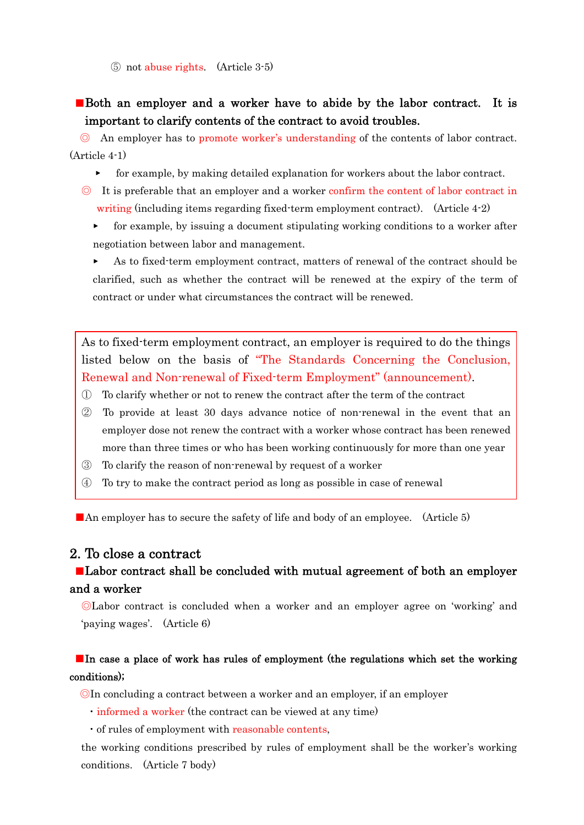⑤ not abuse rights. (Article 3-5)

## ■Both an employer and a worker have to abide by the labor contract. It is important to clarify contents of the contract to avoid troubles.

◎ An employer has to promote worker's understanding of the contents of labor contract. (Article 4-1)

- ▸ for example, by making detailed explanation for workers about the labor contract.
- ◎ It is preferable that an employer and a worker confirm the content of labor contract in writing (including items regarding fixed-term employment contract). (Article 4-2)
	- ▸ for example, by issuing a document stipulating working conditions to a worker after negotiation between labor and management.

As to fixed-term employment contract, matters of renewal of the contract should be clarified, such as whether the contract will be renewed at the expiry of the term of contract or under what circumstances the contract will be renewed.

As to fixed-term employment contract, an employer is required to do the things listed below on the basis of "The Standards Concerning the Conclusion, Renewal and Non-renewal of Fixed-term Employment" (announcement).

- ① To clarify whether or not to renew the contract after the term of the contract
- ② To provide at least 30 days advance notice of non-renewal in the event that an employer dose not renew the contract with a worker whose contract has been renewed more than three times or who has been working continuously for more than one year
- ③ To clarify the reason of non-renewal by request of a worker
- ④ To try to make the contract period as long as possible in case of renewal

■An employer has to secure the safety of life and body of an employee. (Article 5)

### 2. To close a contract

### ■Labor contract shall be concluded with mutual agreement of both an employer and a worker

◎Labor contract is concluded when a worker and an employer agree on 'working' and 'paying wages'. (Article 6)

## ■In case a place of work has rules of employment (the regulations which set the working conditions);

◎In concluding a contract between a worker and an employer, if an employer

・informed a worker (the contract can be viewed at any time)

・of rules of employment with reasonable contents,

the working conditions prescribed by rules of employment shall be the worker's working conditions. (Article 7 body)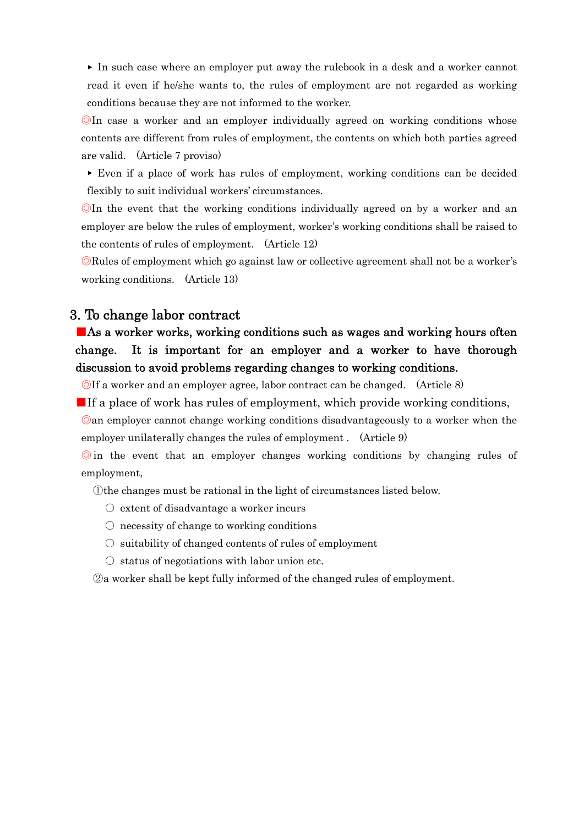▸ In such case where an employer put away the rulebook in a desk and a worker cannot read it even if he/she wants to, the rules of employment are not regarded as working conditions because they are not informed to the worker.

◎In case a worker and an employer individually agreed on working conditions whose contents are different from rules of employment, the contents on which both parties agreed are valid. (Article 7 proviso)

▸ Even if a place of work has rules of employment, working conditions can be decided flexibly to suit individual workers' circumstances.

◎In the event that the working conditions individually agreed on by a worker and an employer are below the rules of employment, worker's working conditions shall be raised to the contents of rules of employment. (Article 12)

◎Rules of employment which go against law or collective agreement shall not be a worker's working conditions. (Article 13)

### 3. To change labor contract

# ■As a worker works, working conditions such as wages and working hours often change. It is important for an employer and a worker to have thorough discussion to avoid problems regarding changes to working conditions.

◎If a worker and an employer agree, labor contract can be changed. (Article 8)

■If a place of work has rules of employment, which provide working conditions,

◎an employer cannot change working conditions disadvantageously to a worker when the employer unilaterally changes the rules of employment . (Article 9)

◎ in the event that an employer changes working conditions by changing rules of employment,

①the changes must be rational in the light of circumstances listed below.

- $\circlearrowright$  extent of disadvantage a worker incurs
- $\circ$  necessity of change to working conditions
- $\circ$  suitability of changed contents of rules of employment
- $\circ$  status of negotiations with labor union etc.

②a worker shall be kept fully informed of the changed rules of employment.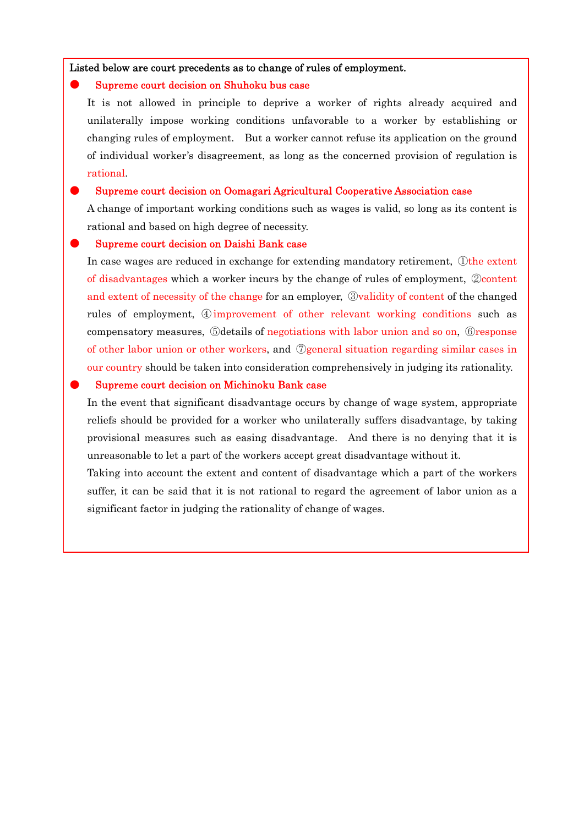Listed below are court precedents as to change of rules of employment.

#### Supreme court decision on Shuhoku bus case

It is not allowed in principle to deprive a worker of rights already acquired and unilaterally impose working conditions unfavorable to a worker by establishing or changing rules of employment. But a worker cannot refuse its application on the ground of individual worker's disagreement, as long as the concerned provision of regulation is rational.

### Supreme court decision on Oomagari Agricultural Cooperative Association case

A change of important working conditions such as wages is valid, so long as its content is rational and based on high degree of necessity.

#### Supreme court decision on Daishi Bank case

In case wages are reduced in exchange for extending mandatory retirement, ①the extent of disadvantages which a worker incurs by the change of rules of employment, ②content and extent of necessity of the change for an employer, ③validity of content of the changed rules of employment, ④improvement of other relevant working conditions such as compensatory measures, ⑤details of negotiations with labor union and so on, ⑥response of other labor union or other workers, and ⑦general situation regarding similar cases in our country should be taken into consideration comprehensively in judging its rationality.

### Supreme court decision on Michinoku Bank case

In the event that significant disadvantage occurs by change of wage system, appropriate reliefs should be provided for a worker who unilaterally suffers disadvantage, by taking provisional measures such as easing disadvantage. And there is no denying that it is unreasonable to let a part of the workers accept great disadvantage without it.

Taking into account the extent and content of disadvantage which a part of the workers suffer, it can be said that it is not rational to regard the agreement of labor union as a significant factor in judging the rationality of change of wages.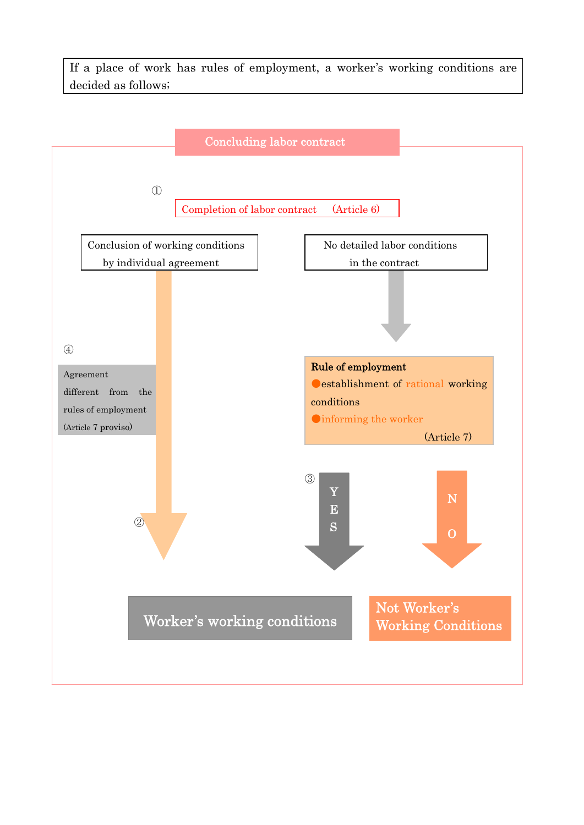If a place of work has rules of employment, a worker's working conditions are decided as follows;

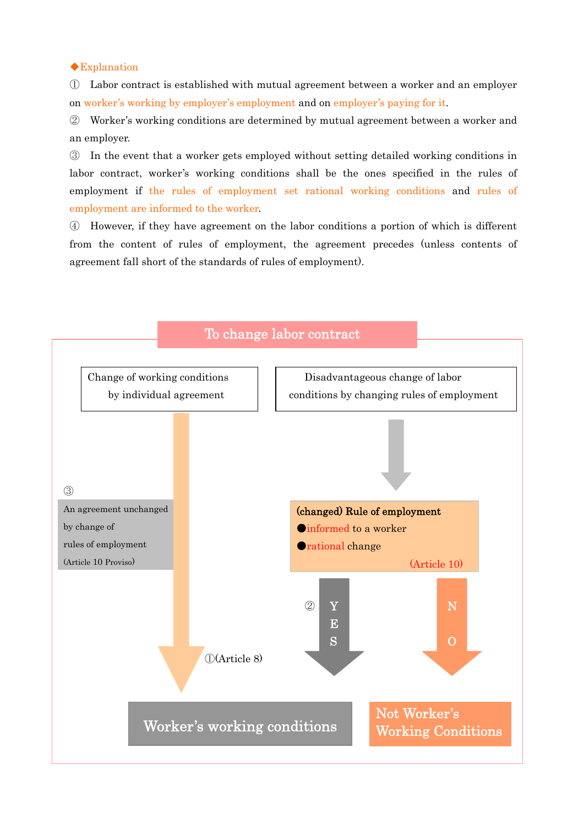◆Explanation

① Labor contract is established with mutual agreement between a worker and an employer on worker's working by employer's employment and on employer's paying for it.

② Worker's working conditions are determined by mutual agreement between a worker and an employer.

③ In the event that a worker gets employed without setting detailed working conditions in labor contract, worker's working conditions shall be the ones specified in the rules of employment if the rules of employment set rational working conditions and rules of employment are informed to the worker.

④ However, if they have agreement on the labor conditions a portion of which is different from the content of rules of employment, the agreement precedes (unless contents of agreement fall short of the standards of rules of employment).

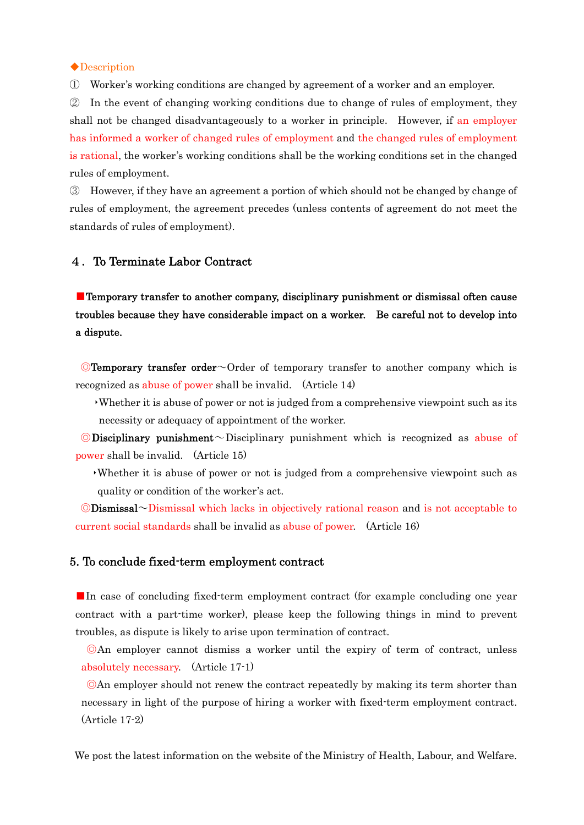◆Description

① Worker's working conditions are changed by agreement of a worker and an employer.

② In the event of changing working conditions due to change of rules of employment, they shall not be changed disadvantageously to a worker in principle. However, if an employer has informed a worker of changed rules of employment and the changed rules of employment is rational, the worker's working conditions shall be the working conditions set in the changed rules of employment.

③ However, if they have an agreement a portion of which should not be changed by change of rules of employment, the agreement precedes (unless contents of agreement do not meet the standards of rules of employment).

#### 4.To Terminate Labor Contract

■Temporary transfer to another company, disciplinary punishment or dismissal often cause troubles because they have considerable impact on a worker. Be careful not to develop into a dispute.

◎Temporary transfer order~Order of temporary transfer to another company which is recognized as abuse of power shall be invalid. (Article 14)

‣Whether it is abuse of power or not is judged from a comprehensive viewpoint such as its necessity or adequacy of appointment of the worker.

 $\odot$ Disciplinary punishment  $\sim$ Disciplinary punishment which is recognized as abuse of power shall be invalid. (Article 15)

‣Whether it is abuse of power or not is judged from a comprehensive viewpoint such as quality or condition of the worker's act.

◎Dismissal~Dismissal which lacks in objectively rational reason and is not acceptable to current social standards shall be invalid as abuse of power. (Article 16)

### 5. To conclude fixed-term employment contract

■In case of concluding fixed-term employment contract (for example concluding one year contract with a part-time worker), please keep the following things in mind to prevent troubles, as dispute is likely to arise upon termination of contract.

◎An employer cannot dismiss a worker until the expiry of term of contract, unless absolutely necessary. (Article 17-1)

◎An employer should not renew the contract repeatedly by making its term shorter than necessary in light of the purpose of hiring a worker with fixed-term employment contract. (Article 17-2)

We post the latest information on the website of the Ministry of Health, Labour, and Welfare.